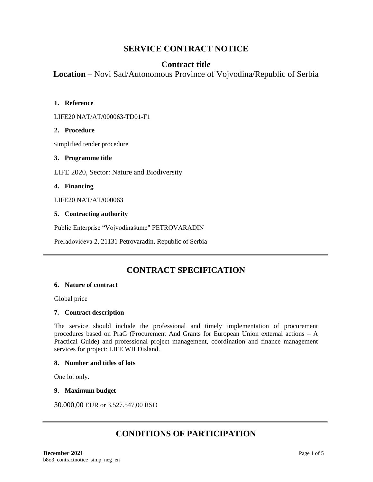# **SERVICE CONTRACT NOTICE**

# **Contract title**

**Location –** Novi Sad/Autonomous Province of Vojvodina/Republic of Serbia

### **1. Reference**

LIFE20 NAT/AT/000063-TD01-F1

# **2. Procedure**

Simplified tender procedure

### **3. Programme title**

LIFE 2020, Sector: Nature and Biodiversity

# **4. Financing**

LIFE20 NAT/AT/000063

# **5. Contracting authority**

Public Enterprise "Vojvodinašume" PETROVARADIN

Preradovićeva 2, 21131 Petrovaradin, Republic of Serbia

# **CONTRACT SPECIFICATION**

### **6. Nature of contract**

Global price

### **7. Contract description**

The service should include the professional and timely implementation of procurement procedures based on PraG (Procurement And Grants for European Union external actions – A Practical Guide) and professional project management, coordination and finance management services for project: LIFE WILDisland.

### **8. Number and titles of lots**

One lot only.

### **9. Maximum budget**

30.000,00 EUR or 3.527.547,00 RSD

# **CONDITIONS OF PARTICIPATION**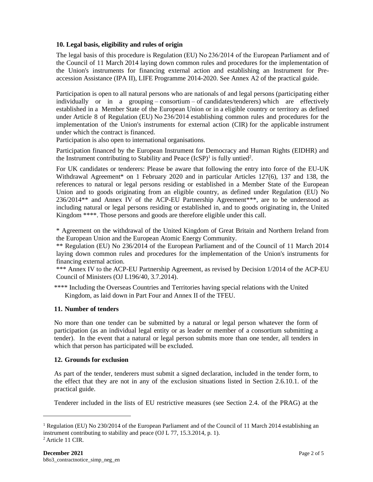### **10. Legal basis, eligibility and rules of origin**

The legal basis of this procedure is Regulation (EU) No 236/2014 of the European Parliament and of the Council of 11 March 2014 laying down common rules and procedures for the implementation of the Union's instruments for financing external action and establishing an Instrument for Preaccession Assistance (IPA II), LIFE Programme 2014-2020. See Annex A2 of the practical guide.

Participation is open to all natural persons who are nationals of and legal persons (participating either individually or in a grouping – consortium – of candidates/tenderers) which are effectively established in a Member State of the European Union or in a eligible country or territory as defined under Article 8 of Regulation (EU) No 236/2014 establishing common rules and procedures for the implementation of the Union's instruments for external action (CIR) for the applicable instrument under which the contract is financed.

Participation is also open to international organisations.

Participation financed by the European Instrument for Democracy and Human Rights (EIDHR) and the Instrument contributing to Stability and Peace  $(IcSP)^1$  is fully untied<sup>2</sup>.

For UK candidates or tenderers: Please be aware that following the entry into force of the EU-UK Withdrawal Agreement\* on 1 February 2020 and in particular Articles 127(6), 137 and 138, the references to natural or legal persons residing or established in a Member State of the European Union and to goods originating from an eligible country, as defined under Regulation (EU) No 236/2014\*\* and Annex IV of the ACP-EU Partnership Agreement\*\*\*, are to be understood as including natural or legal persons residing or established in, and to goods originating in, the United Kingdom \*\*\*\*. Those persons and goods are therefore eligible under this call.

\* Agreement on the withdrawal of the United Kingdom of Great Britain and Northern Ireland from the European Union and the European Atomic Energy Community.

\*\* Regulation (EU) No 236/2014 of the European Parliament and of the Council of 11 March 2014 laying down common rules and procedures for the implementation of the Union's instruments for financing external action.

\*\*\* Annex IV to the ACP-EU Partnership Agreement, as revised by Decision 1/2014 of the ACP-EU Council of Ministers (OJ L196/40, 3.7.2014).

\*\*\*\* Including the Overseas Countries and Territories having special relations with the United Kingdom, as laid down in Part Four and Annex II of the TFEU.

### **11. Number of tenders**

No more than one tender can be submitted by a natural or legal person whatever the form of participation (as an individual legal entity or as leader or member of a consortium submitting a tender). In the event that a natural or legal person submits more than one tender, all tenders in which that person has participated will be excluded.

### **12. Grounds for exclusion**

As part of the tender, tenderers must submit a signed declaration, included in the tender form, to the effect that they are not in any of the exclusion situations listed in Section 2.6.10.1. of the practical guide.

Tenderer included in the lists of EU restrictive measures (see Section 2.4. of the PRAG) at the

<sup>&</sup>lt;sup>1</sup> Regulation (EU) No 230/2014 of the European Parliament and of the Council of 11 March 2014 establishing an instrument contributing to stability and peace (OJ L 77, 15.3.2014, p. 1).

<sup>2</sup> Article 11 CIR.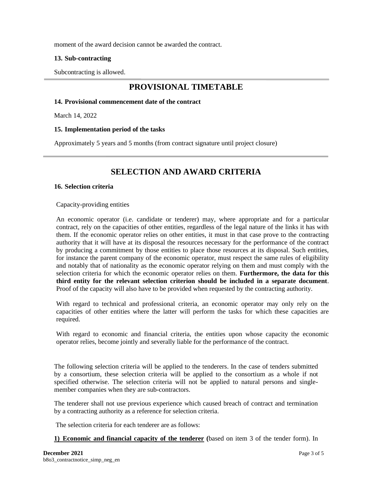moment of the award decision cannot be awarded the contract.

### **13. Sub-contracting**

Subcontracting is allowed.

# **PROVISIONAL TIMETABLE**

### **14. Provisional commencement date of the contract**

March 14, 2022

### **15. Implementation period of the tasks**

Approximately 5 years and 5 months (from contract signature until project closure)

# **SELECTION AND AWARD CRITERIA**

#### **16. Selection criteria**

Capacity-providing entities

An economic operator (i.e. candidate or tenderer) may, where appropriate and for a particular contract, rely on the capacities of other entities, regardless of the legal nature of the links it has with them. If the economic operator relies on other entities, it must in that case prove to the contracting authority that it will have at its disposal the resources necessary for the performance of the contract by producing a commitment by those entities to place those resources at its disposal. Such entities, for instance the parent company of the economic operator, must respect the same rules of eligibility and notably that of nationality as the economic operator relying on them and must comply with the selection criteria for which the economic operator relies on them. **Furthermore, the data for this third entity for the relevant selection criterion should be included in a separate document**. Proof of the capacity will also have to be provided when requested by the contracting authority.

With regard to technical and professional criteria, an economic operator may only rely on the capacities of other entities where the latter will perform the tasks for which these capacities are required.

With regard to economic and financial criteria, the entities upon whose capacity the economic operator relies, become jointly and severally liable for the performance of the contract.

The following selection criteria will be applied to the tenderers. In the case of tenders submitted by a consortium, these selection criteria will be applied to the consortium as a whole if not specified otherwise. The selection criteria will not be applied to natural persons and singlemember companies when they are sub-contractors.

The tenderer shall not use previous experience which caused breach of contract and termination by a contracting authority as a reference for selection criteria.

The selection criteria for each tenderer are as follows:

**1) Economic and financial capacity of the tenderer (**based on item 3 of the tender form). In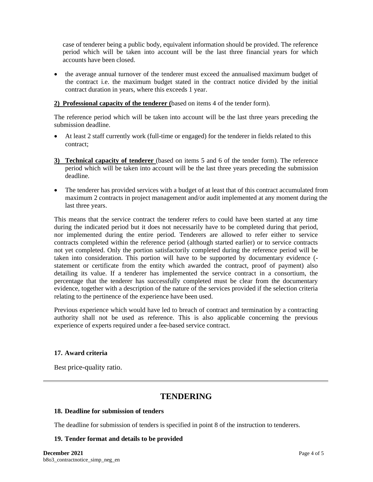case of tenderer being a public body, equivalent information should be provided. The reference period which will be taken into account will be the last three financial years for which accounts have been closed.

• the average annual turnover of the tenderer must exceed the annualised maximum budget of the contract i.e. the maximum budget stated in the contract notice divided by the initial contract duration in years, where this exceeds 1 year.

### **2) Professional capacity of the tenderer (**based on items 4 of the tender form).

The reference period which will be taken into account will be the last three years preceding the submission deadline.

- At least 2 staff currently work (full-time or engaged) for the tenderer in fields related to this contract;
- **3) Technical capacity of tenderer** (based on items 5 and 6 of the tender form). The reference period which will be taken into account will be the last three years preceding the submission deadline.
- The tenderer has provided services with a budget of at least that of this contract accumulated from maximum 2 contracts in project management and/or audit implemented at any moment during the last three years.

This means that the service contract the tenderer refers to could have been started at any time during the indicated period but it does not necessarily have to be completed during that period, nor implemented during the entire period. Tenderers are allowed to refer either to service contracts completed within the reference period (although started earlier) or to service contracts not yet completed. Only the portion satisfactorily completed during the reference period will be taken into consideration. This portion will have to be supported by documentary evidence ( statement or certificate from the entity which awarded the contract, proof of payment) also detailing its value. If a tenderer has implemented the service contract in a consortium, the percentage that the tenderer has successfully completed must be clear from the documentary evidence, together with a description of the nature of the services provided if the selection criteria relating to the pertinence of the experience have been used.

Previous experience which would have led to breach of contract and termination by a contracting authority shall not be used as reference. This is also applicable concerning the previous experience of experts required under a fee-based service contract.

### **17. Award criteria**

Best price-quality ratio.

# **TENDERING**

### **18. Deadline for submission of tenders**

The deadline for submission of tenders is specified in point 8 of the instruction to tenderers.

### **19. Tender format and details to be provided**